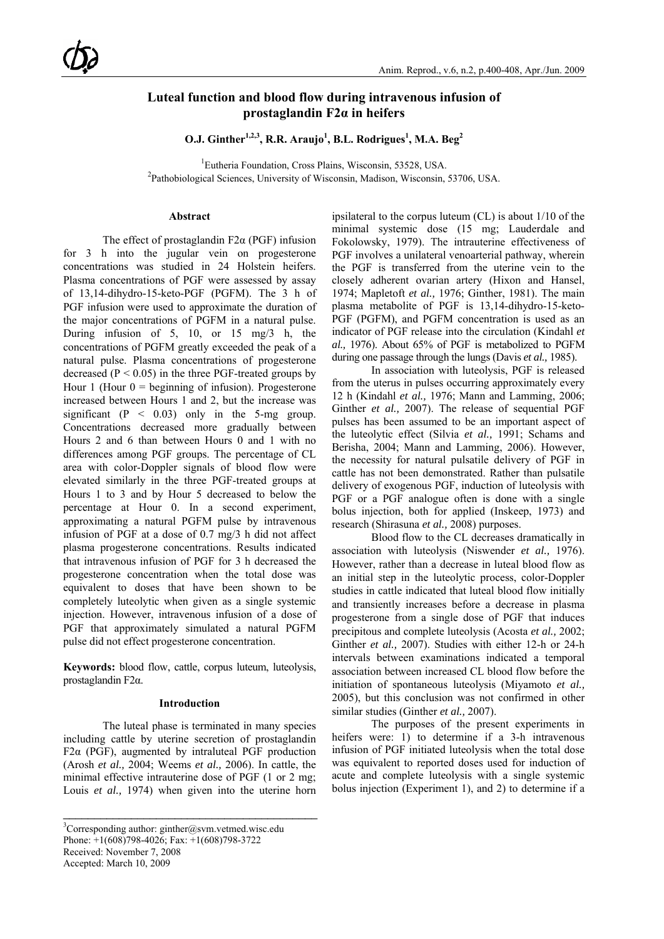# **Luteal function and blood flow during intravenous infusion of prostaglandin F2α in heifers**

**O.J.** Ginther<sup>1,2,3</sup>, R.R. Araujo<sup>1</sup>, B.L. Rodrigues<sup>1</sup>, M.A. Beg<sup>2</sup>

<sup>1</sup> Eutheria Foundation, Cross Plains, Wisconsin, 53528, USA. Pathobiological Sciences, University of Wisconsin, Madison, Wisconsin, 53706, USA.

# **Abstract**

The effect of prostaglandin  $F2\alpha$  (PGF) infusion for 3 h into the jugular vein on progesterone concentrations was studied in 24 Holstein heifers. Plasma concentrations of PGF were assessed by assay of 13,14-dihydro-15-keto-PGF (PGFM). The 3 h of PGF infusion were used to approximate the duration of the major concentrations of PGFM in a natural pulse. During infusion of 5, 10, or 15 mg/3 h, the concentrations of PGFM greatly exceeded the peak of a natural pulse. Plasma concentrations of progesterone decreased ( $P < 0.05$ ) in the three PGF-treated groups by Hour 1 (Hour  $0 =$  beginning of infusion). Progesterone increased between Hours 1 and 2, but the increase was significant ( $P < 0.03$ ) only in the 5-mg group. Concentrations decreased more gradually between Hours 2 and 6 than between Hours 0 and 1 with no differences among PGF groups. The percentage of CL area with color-Doppler signals of blood flow were elevated similarly in the three PGF-treated groups at Hours 1 to 3 and by Hour 5 decreased to below the percentage at Hour 0. In a second experiment, approximating a natural PGFM pulse by intravenous infusion of PGF at a dose of 0.7 mg/3 h did not affect plasma progesterone concentrations. Results indicated that intravenous infusion of PGF for 3 h decreased the progesterone concentration when the total dose was equivalent to doses that have been shown to be completely luteolytic when given as a single systemic injection. However, intravenous infusion of a dose of PGF that approximately simulated a natural PGFM pulse did not effect progesterone concentration.

**Keywords:** blood flow, cattle, corpus luteum, luteolysis, prostaglandin F2α.

## **Introduction**

The luteal phase is terminated in many species including cattle by uterine secretion of prostaglandin F2 $\alpha$  (PGF), augmented by intraluteal PGF production (Arosh *et al.,* 2004; Weems *et al.,* 2006). In cattle, the minimal effective intrauterine dose of PGF (1 or 2 mg; Louis *et al.,* 1974) when given into the uterine horn

\_\_\_\_\_\_\_\_\_\_\_\_\_\_\_\_\_\_\_\_\_\_\_\_\_\_\_\_\_\_\_\_\_\_\_\_\_\_\_\_\_

Accepted: March 10, 2009

ipsilateral to the corpus luteum (CL) is about 1/10 of the minimal systemic dose (15 mg; Lauderdale and Fokolowsky, 1979). The intrauterine effectiveness of PGF involves a unilateral venoarterial pathway, wherein the PGF is transferred from the uterine vein to the closely adherent ovarian artery (Hixon and Hansel, 1974; Mapletoft *et al.,* 1976; Ginther, 1981). The main plasma metabolite of PGF is 13,14-dihydro-15-keto-PGF (PGFM), and PGFM concentration is used as an indicator of PGF release into the circulation (Kindahl *et al.,* 1976). About 65% of PGF is metabolized to PGFM during one passage through the lungs (Davis *et al.,* 1985).

In association with luteolysis, PGF is released from the uterus in pulses occurring approximately every 12 h (Kindahl *et al.,* 1976; Mann and Lamming, 2006; Ginther *et al.,* 2007). The release of sequential PGF pulses has been assumed to be an important aspect of the luteolytic effect (Silvia *et al.,* 1991; Schams and Berisha, 2004; Mann and Lamming, 2006). However, the necessity for natural pulsatile delivery of PGF in cattle has not been demonstrated. Rather than pulsatile delivery of exogenous PGF, induction of luteolysis with PGF or a PGF analogue often is done with a single bolus injection, both for applied (Inskeep, 1973) and research (Shirasuna *et al.,* 2008) purposes.

Blood flow to the CL decreases dramatically in association with luteolysis (Niswender *et al.,* 1976). However, rather than a decrease in luteal blood flow as an initial step in the luteolytic process, color-Doppler studies in cattle indicated that luteal blood flow initially and transiently increases before a decrease in plasma progesterone from a single dose of PGF that induces precipitous and complete luteolysis (Acosta *et al.,* 2002; Ginther *et al.,* 2007). Studies with either 12-h or 24-h intervals between examinations indicated a temporal association between increased CL blood flow before the initiation of spontaneous luteolysis (Miyamoto *et al.,*  2005), but this conclusion was not confirmed in other similar studies (Ginther *et al.,* 2007).

The purposes of the present experiments in heifers were: 1) to determine if a 3-h intravenous infusion of PGF initiated luteolysis when the total dose was equivalent to reported doses used for induction of acute and complete luteolysis with a single systemic bolus injection (Experiment 1), and 2) to determine if a

 ${}^{3}$ Corresponding author: ginther@svm.vetmed.wisc.edu Phone: +1(608)798-4026; Fax: +1(608)798-3722 Received: November 7, 2008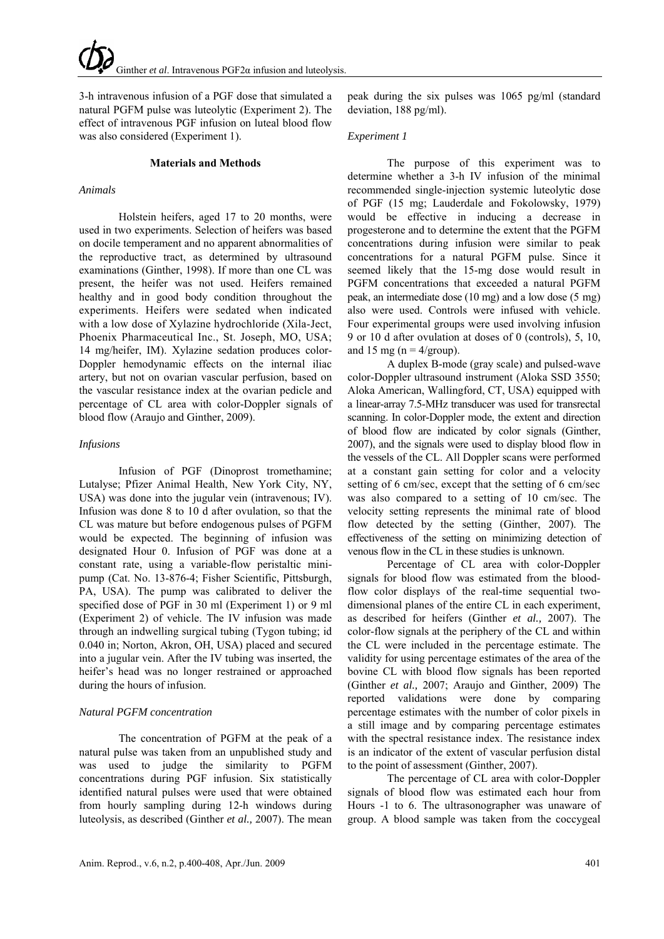3-h intravenous infusion of a PGF dose that simulated a natural PGFM pulse was luteolytic (Experiment 2). The effect of intravenous PGF infusion on luteal blood flow was also considered (Experiment 1).

# **Materials and Methods**

# *Animals*

Holstein heifers, aged 17 to 20 months, were used in two experiments. Selection of heifers was based on docile temperament and no apparent abnormalities of the reproductive tract, as determined by ultrasound examinations (Ginther, 1998). If more than one CL was present, the heifer was not used. Heifers remained healthy and in good body condition throughout the experiments. Heifers were sedated when indicated with a low dose of Xylazine hydrochloride (Xila-Ject, Phoenix Pharmaceutical Inc., St. Joseph, MO, USA; 14 mg/heifer, IM). Xylazine sedation produces color-Doppler hemodynamic effects on the internal iliac artery, but not on ovarian vascular perfusion, based on the vascular resistance index at the ovarian pedicle and percentage of CL area with color-Doppler signals of blood flow (Araujo and Ginther, 2009).

# *Infusions*

Infusion of PGF (Dinoprost tromethamine; Lutalyse; Pfizer Animal Health, New York City, NY, USA) was done into the jugular vein (intravenous; IV). Infusion was done 8 to 10 d after ovulation, so that the CL was mature but before endogenous pulses of PGFM would be expected. The beginning of infusion was designated Hour 0. Infusion of PGF was done at a constant rate, using a variable-flow peristaltic minipump (Cat. No. 13-876-4; Fisher Scientific, Pittsburgh, PA, USA). The pump was calibrated to deliver the specified dose of PGF in 30 ml (Experiment 1) or 9 ml (Experiment 2) of vehicle. The IV infusion was made through an indwelling surgical tubing (Tygon tubing; id 0.040 in; Norton, Akron, OH, USA) placed and secured into a jugular vein. After the IV tubing was inserted, the heifer's head was no longer restrained or approached during the hours of infusion.

# *Natural PGFM concentration*

The concentration of PGFM at the peak of a natural pulse was taken from an unpublished study and was used to judge the similarity to PGFM concentrations during PGF infusion. Six statistically identified natural pulses were used that were obtained from hourly sampling during 12-h windows during luteolysis, as described (Ginther *et al.,* 2007). The mean

peak during the six pulses was 1065 pg/ml (standard deviation, 188 pg/ml).

# *Experiment 1*

The purpose of this experiment was to determine whether a 3-h IV infusion of the minimal recommended single-injection systemic luteolytic dose of PGF (15 mg; Lauderdale and Fokolowsky, 1979) would be effective in inducing a decrease in progesterone and to determine the extent that the PGFM concentrations during infusion were similar to peak concentrations for a natural PGFM pulse. Since it seemed likely that the 15-mg dose would result in PGFM concentrations that exceeded a natural PGFM peak, an intermediate dose (10 mg) and a low dose (5 mg) also were used. Controls were infused with vehicle. Four experimental groups were used involving infusion 9 or 10 d after ovulation at doses of 0 (controls), 5, 10, and 15 mg ( $n = 4$ /group).

A duplex B-mode (gray scale) and pulsed-wave color-Doppler ultrasound instrument (Aloka SSD 3550; Aloka American, Wallingford, CT, USA) equipped with a linear-array 7.5-MHz transducer was used for transrectal scanning. In color-Doppler mode, the extent and direction of blood flow are indicated by color signals (Ginther, 2007), and the signals were used to display blood flow in the vessels of the CL. All Doppler scans were performed at a constant gain setting for color and a velocity setting of 6 cm/sec, except that the setting of 6 cm/sec was also compared to a setting of 10 cm/sec. The velocity setting represents the minimal rate of blood flow detected by the setting (Ginther, 2007). The effectiveness of the setting on minimizing detection of venous flow in the CL in these studies is unknown.

Percentage of CL area with color-Doppler signals for blood flow was estimated from the bloodflow color displays of the real-time sequential twodimensional planes of the entire CL in each experiment, as described for heifers (Ginther *et al.,* 2007). The color-flow signals at the periphery of the CL and within the CL were included in the percentage estimate. The validity for using percentage estimates of the area of the bovine CL with blood flow signals has been reported (Ginther *et al.,* 2007; Araujo and Ginther, 2009) The reported validations were done by comparing percentage estimates with the number of color pixels in a still image and by comparing percentage estimates with the spectral resistance index. The resistance index is an indicator of the extent of vascular perfusion distal to the point of assessment (Ginther, 2007).

The percentage of CL area with color-Doppler signals of blood flow was estimated each hour from Hours -1 to 6. The ultrasonographer was unaware of group. A blood sample was taken from the coccygeal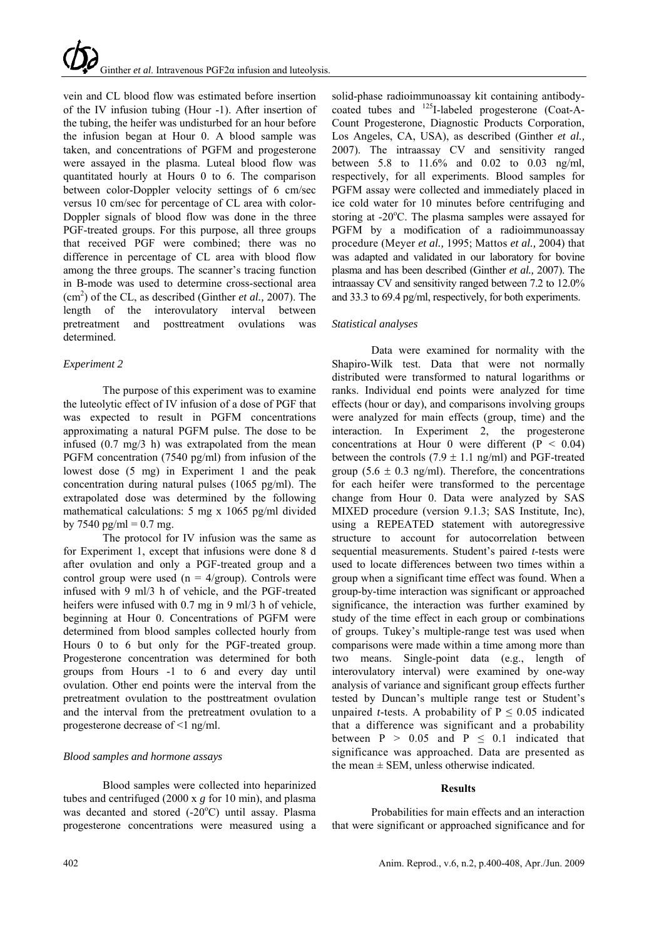vein and CL blood flow was estimated before insertion of the IV infusion tubing (Hour -1). After insertion of the tubing, the heifer was undisturbed for an hour before the infusion began at Hour 0. A blood sample was taken, and concentrations of PGFM and progesterone were assayed in the plasma. Luteal blood flow was quantitated hourly at Hours 0 to 6. The comparison between color-Doppler velocity settings of 6 cm/sec versus 10 cm/sec for percentage of CL area with color-Doppler signals of blood flow was done in the three PGF-treated groups. For this purpose, all three groups that received PGF were combined; there was no difference in percentage of CL area with blood flow among the three groups. The scanner's tracing function in B-mode was used to determine cross-sectional area (cm2 ) of the CL, as described (Ginther *et al.,* 2007). The length of the interovulatory interval between pretreatment and posttreatment ovulations was determined.

# *Experiment 2*

The purpose of this experiment was to examine the luteolytic effect of IV infusion of a dose of PGF that was expected to result in PGFM concentrations approximating a natural PGFM pulse. The dose to be infused (0.7 mg/3 h) was extrapolated from the mean PGFM concentration (7540 pg/ml) from infusion of the lowest dose (5 mg) in Experiment 1 and the peak concentration during natural pulses (1065 pg/ml). The extrapolated dose was determined by the following mathematical calculations: 5 mg x 1065 pg/ml divided by 7540 pg/ml =  $0.7$  mg.

The protocol for IV infusion was the same as for Experiment 1, except that infusions were done 8 d after ovulation and only a PGF-treated group and a control group were used  $(n = 4/\text{group})$ . Controls were infused with 9 ml/3 h of vehicle, and the PGF-treated heifers were infused with 0.7 mg in 9 ml/3 h of vehicle, beginning at Hour 0. Concentrations of PGFM were determined from blood samples collected hourly from Hours 0 to 6 but only for the PGF-treated group. Progesterone concentration was determined for both groups from Hours -1 to 6 and every day until ovulation. Other end points were the interval from the pretreatment ovulation to the posttreatment ovulation and the interval from the pretreatment ovulation to a progesterone decrease of <1 ng/ml.

# *Blood samples and hormone assays*

Blood samples were collected into heparinized tubes and centrifuged (2000 x *g* for 10 min), and plasma was decanted and stored (-20°C) until assay. Plasma progesterone concentrations were measured using a

solid-phase radioimmunoassay kit containing antibodycoated tubes and 125I-labeled progesterone (Coat-A-Count Progesterone, Diagnostic Products Corporation, Los Angeles, CA, USA), as described (Ginther *et al.,*  2007). The intraassay CV and sensitivity ranged between 5.8 to 11.6% and 0.02 to 0.03 ng/ml, respectively, for all experiments. Blood samples for PGFM assay were collected and immediately placed in ice cold water for 10 minutes before centrifuging and storing at -20°C. The plasma samples were assayed for PGFM by a modification of a radioimmunoassay procedure (Meyer *et al.,* 1995; Mattos *et al.,* 2004) that was adapted and validated in our laboratory for bovine plasma and has been described (Ginther *et al.,* 2007). The intraassay CV and sensitivity ranged between 7.2 to 12.0% and 33.3 to 69.4 pg/ml, respectively, for both experiments.

# *Statistical analyses*

Data were examined for normality with the Shapiro-Wilk test. Data that were not normally distributed were transformed to natural logarithms or ranks. Individual end points were analyzed for time effects (hour or day), and comparisons involving groups were analyzed for main effects (group, time) and the interaction. In Experiment 2, the progesterone concentrations at Hour 0 were different  $(P < 0.04)$ between the controls  $(7.9 \pm 1.1 \text{ ng/ml})$  and PGF-treated group (5.6  $\pm$  0.3 ng/ml). Therefore, the concentrations for each heifer were transformed to the percentage change from Hour 0. Data were analyzed by SAS MIXED procedure (version 9.1.3; SAS Institute, Inc), using a REPEATED statement with autoregressive structure to account for autocorrelation between sequential measurements. Student's paired *t*-tests were used to locate differences between two times within a group when a significant time effect was found. When a group-by-time interaction was significant or approached significance, the interaction was further examined by study of the time effect in each group or combinations of groups. Tukey's multiple-range test was used when comparisons were made within a time among more than two means. Single-point data (e.g., length of interovulatory interval) were examined by one-way analysis of variance and significant group effects further tested by Duncan's multiple range test or Student's unpaired *t*-tests. A probability of  $P \le 0.05$  indicated that a difference was significant and a probability between  $P > 0.05$  and  $P \le 0.1$  indicated that significance was approached. Data are presented as the mean  $\pm$  SEM, unless otherwise indicated.

# **Results**

Probabilities for main effects and an interaction that were significant or approached significance and for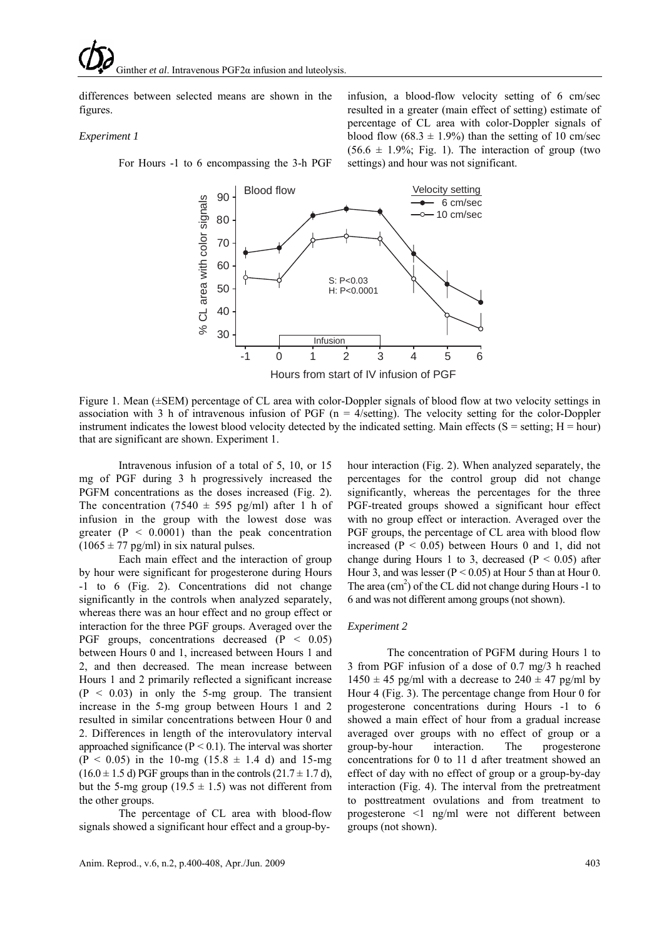differences between selected means are shown in the figures.

#### *Experiment 1*

For Hours -1 to 6 encompassing the 3-h PGF

infusion, a blood-flow velocity setting of 6 cm/sec resulted in a greater (main effect of setting) estimate of percentage of CL area with color-Doppler signals of blood flow  $(68.3 \pm 1.9\%)$  than the setting of 10 cm/sec  $(56.6 \pm 1.9\%;$  Fig. 1). The interaction of group (two settings) and hour was not significant.



Figure 1. Mean (±SEM) percentage of CL area with color-Doppler signals of blood flow at two velocity settings in association with 3 h of intravenous infusion of PGF ( $n = 4$ /setting). The velocity setting for the color-Doppler instrument indicates the lowest blood velocity detected by the indicated setting. Main effects ( $S =$  setting;  $H =$  hour) that are significant are shown. Experiment 1.

Intravenous infusion of a total of 5, 10, or 15 mg of PGF during 3 h progressively increased the PGFM concentrations as the doses increased (Fig. 2). The concentration (7540  $\pm$  595 pg/ml) after 1 h of infusion in the group with the lowest dose was greater  $(P < 0.0001)$  than the peak concentration  $(1065 \pm 77 \text{ pg/ml})$  in six natural pulses.

Each main effect and the interaction of group by hour were significant for progesterone during Hours -1 to 6 (Fig. 2). Concentrations did not change significantly in the controls when analyzed separately, whereas there was an hour effect and no group effect or interaction for the three PGF groups. Averaged over the PGF groups, concentrations decreased  $(P < 0.05)$ between Hours 0 and 1, increased between Hours 1 and 2, and then decreased. The mean increase between Hours 1 and 2 primarily reflected a significant increase  $(P < 0.03)$  in only the 5-mg group. The transient increase in the 5-mg group between Hours 1 and 2 resulted in similar concentrations between Hour 0 and 2. Differences in length of the interovulatory interval approached significance ( $P \le 0.1$ ). The interval was shorter  $(P < 0.05)$  in the 10-mg  $(15.8 \pm 1.4)$  and 15-mg  $(16.0 \pm 1.5 \text{ d})$  PGF groups than in the controls  $(21.7 \pm 1.7 \text{ d})$ , but the 5-mg group (19.5  $\pm$  1.5) was not different from the other groups.

The percentage of CL area with blood-flow signals showed a significant hour effect and a group-byhour interaction (Fig. 2). When analyzed separately, the percentages for the control group did not change significantly, whereas the percentages for the three PGF-treated groups showed a significant hour effect with no group effect or interaction. Averaged over the PGF groups, the percentage of CL area with blood flow increased ( $P < 0.05$ ) between Hours 0 and 1, did not change during Hours 1 to 3, decreased ( $P < 0.05$ ) after Hour 3, and was lesser ( $P < 0.05$ ) at Hour 5 than at Hour 0. The area  $(cm<sup>2</sup>)$  of the CL did not change during Hours -1 to 6 and was not different among groups (not shown).

#### *Experiment 2*

The concentration of PGFM during Hours 1 to 3 from PGF infusion of a dose of 0.7 mg/3 h reached  $1450 \pm 45$  pg/ml with a decrease to  $240 \pm 47$  pg/ml by Hour 4 (Fig. 3). The percentage change from Hour 0 for progesterone concentrations during Hours -1 to 6 showed a main effect of hour from a gradual increase averaged over groups with no effect of group or a group-by-hour interaction. The progesterone concentrations for 0 to 11 d after treatment showed an effect of day with no effect of group or a group-by-day interaction (Fig. 4). The interval from the pretreatment to posttreatment ovulations and from treatment to progesterone <1 ng/ml were not different between groups (not shown).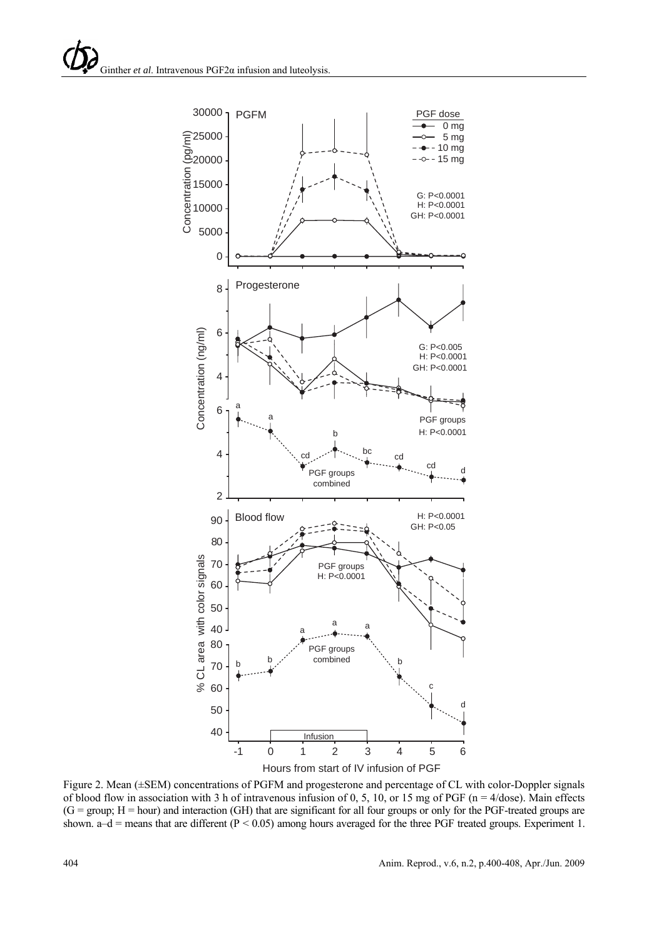

Figure 2. Mean (±SEM) concentrations of PGFM and progesterone and percentage of CL with color-Doppler signals of blood flow in association with 3 h of intravenous infusion of 0, 5, 10, or 15 mg of PGF (n = 4/dose). Main effects  $(G = group; H = hour)$  and interaction  $(GH)$  that are significant for all four groups or only for the PGF-treated groups are shown.  $a-d$  = means that are different (P < 0.05) among hours averaged for the three PGF treated groups. Experiment 1.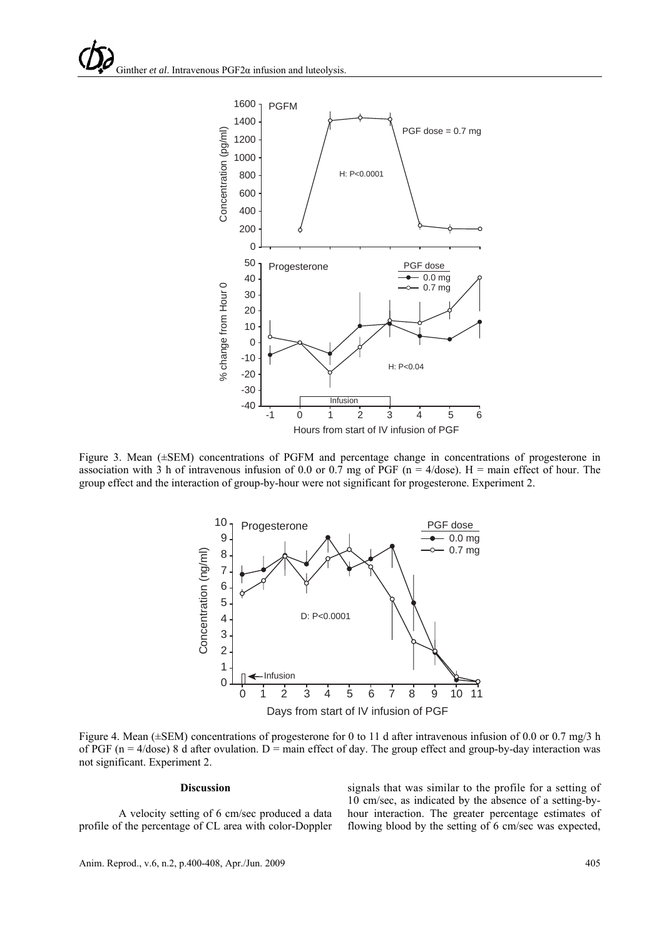

Figure 3. Mean (±SEM) concentrations of PGFM and percentage change in concentrations of progesterone in association with 3 h of intravenous infusion of 0.0 or 0.7 mg of PGF (n =  $4/dose$ ). H = main effect of hour. The group effect and the interaction of group-by-hour were not significant for progesterone. Experiment 2.



Figure 4. Mean ( $\pm$ SEM) concentrations of progesterone for 0 to 11 d after intravenous infusion of 0.0 or 0.7 mg/3 h of PGF ( $n = 4$ /dose) 8 d after ovulation.  $D =$  main effect of day. The group effect and group-by-day interaction was not significant. Experiment 2.

## **Discussion**

A velocity setting of 6 cm/sec produced a data profile of the percentage of CL area with color-Doppler signals that was similar to the profile for a setting of 10 cm/sec, as indicated by the absence of a setting-byhour interaction. The greater percentage estimates of flowing blood by the setting of 6 cm/sec was expected,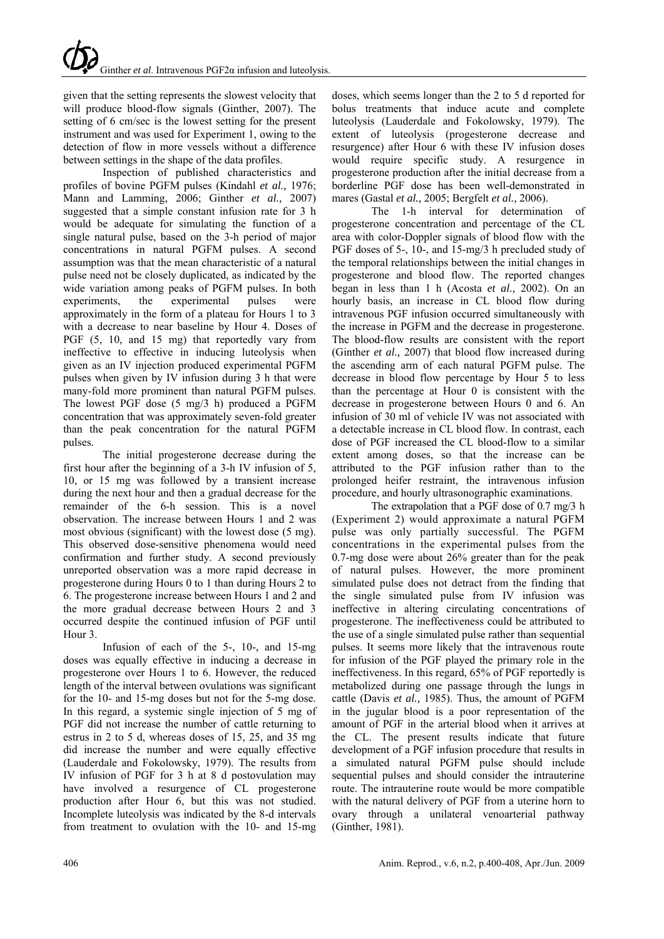given that the setting represents the slowest velocity that will produce blood-flow signals (Ginther, 2007). The setting of 6 cm/sec is the lowest setting for the present instrument and was used for Experiment 1, owing to the detection of flow in more vessels without a difference between settings in the shape of the data profiles.

Inspection of published characteristics and profiles of bovine PGFM pulses (Kindahl *et al.,* 1976; Mann and Lamming, 2006; Ginther *et al.,* 2007) suggested that a simple constant infusion rate for 3 h would be adequate for simulating the function of a single natural pulse, based on the 3-h period of major concentrations in natural PGFM pulses. A second assumption was that the mean characteristic of a natural pulse need not be closely duplicated, as indicated by the wide variation among peaks of PGFM pulses. In both experiments, the experimental pulses were approximately in the form of a plateau for Hours 1 to 3 with a decrease to near baseline by Hour 4. Doses of PGF (5, 10, and 15 mg) that reportedly vary from ineffective to effective in inducing luteolysis when given as an IV injection produced experimental PGFM pulses when given by IV infusion during 3 h that were many-fold more prominent than natural PGFM pulses. The lowest PGF dose (5 mg/3 h) produced a PGFM concentration that was approximately seven-fold greater than the peak concentration for the natural PGFM pulses.

The initial progesterone decrease during the first hour after the beginning of a 3-h IV infusion of 5, 10, or 15 mg was followed by a transient increase during the next hour and then a gradual decrease for the remainder of the 6-h session. This is a novel observation. The increase between Hours 1 and 2 was most obvious (significant) with the lowest dose (5 mg). This observed dose-sensitive phenomena would need confirmation and further study. A second previously unreported observation was a more rapid decrease in progesterone during Hours 0 to 1 than during Hours 2 to 6. The progesterone increase between Hours 1 and 2 and the more gradual decrease between Hours 2 and 3 occurred despite the continued infusion of PGF until Hour 3.

Infusion of each of the 5-, 10-, and 15-mg doses was equally effective in inducing a decrease in progesterone over Hours 1 to 6. However, the reduced length of the interval between ovulations was significant for the 10- and 15-mg doses but not for the 5-mg dose. In this regard, a systemic single injection of 5 mg of PGF did not increase the number of cattle returning to estrus in 2 to 5 d, whereas doses of 15, 25, and 35 mg did increase the number and were equally effective (Lauderdale and Fokolowsky, 1979). The results from IV infusion of PGF for 3 h at 8 d postovulation may have involved a resurgence of CL progesterone production after Hour 6, but this was not studied. Incomplete luteolysis was indicated by the 8-d intervals from treatment to ovulation with the 10- and 15-mg

doses, which seems longer than the 2 to 5 d reported for bolus treatments that induce acute and complete luteolysis (Lauderdale and Fokolowsky, 1979). The extent of luteolysis (progesterone decrease and resurgence) after Hour 6 with these IV infusion doses would require specific study. A resurgence in progesterone production after the initial decrease from a borderline PGF dose has been well-demonstrated in mares (Gastal *et al.,* 2005; Bergfelt *et al.,* 2006).

The 1-h interval for determination of progesterone concentration and percentage of the CL area with color-Doppler signals of blood flow with the PGF doses of 5-, 10-, and 15-mg/3 h precluded study of the temporal relationships between the initial changes in progesterone and blood flow. The reported changes began in less than 1 h (Acosta *et al.,* 2002). On an hourly basis, an increase in CL blood flow during intravenous PGF infusion occurred simultaneously with the increase in PGFM and the decrease in progesterone. The blood-flow results are consistent with the report (Ginther *et al.,* 2007) that blood flow increased during the ascending arm of each natural PGFM pulse. The decrease in blood flow percentage by Hour 5 to less than the percentage at Hour 0 is consistent with the decrease in progesterone between Hours 0 and 6. An infusion of 30 ml of vehicle IV was not associated with a detectable increase in CL blood flow. In contrast, each dose of PGF increased the CL blood-flow to a similar extent among doses, so that the increase can be attributed to the PGF infusion rather than to the prolonged heifer restraint, the intravenous infusion procedure, and hourly ultrasonographic examinations.

The extrapolation that a PGF dose of 0.7 mg/3 h (Experiment 2) would approximate a natural PGFM pulse was only partially successful. The PGFM concentrations in the experimental pulses from the 0.7-mg dose were about 26% greater than for the peak of natural pulses. However, the more prominent simulated pulse does not detract from the finding that the single simulated pulse from IV infusion was ineffective in altering circulating concentrations of progesterone. The ineffectiveness could be attributed to the use of a single simulated pulse rather than sequential pulses. It seems more likely that the intravenous route for infusion of the PGF played the primary role in the ineffectiveness. In this regard, 65% of PGF reportedly is metabolized during one passage through the lungs in cattle (Davis *et al.,* 1985). Thus, the amount of PGFM in the jugular blood is a poor representation of the amount of PGF in the arterial blood when it arrives at the CL. The present results indicate that future development of a PGF infusion procedure that results in a simulated natural PGFM pulse should include sequential pulses and should consider the intrauterine route. The intrauterine route would be more compatible with the natural delivery of PGF from a uterine horn to ovary through a unilateral venoarterial pathway (Ginther, 1981).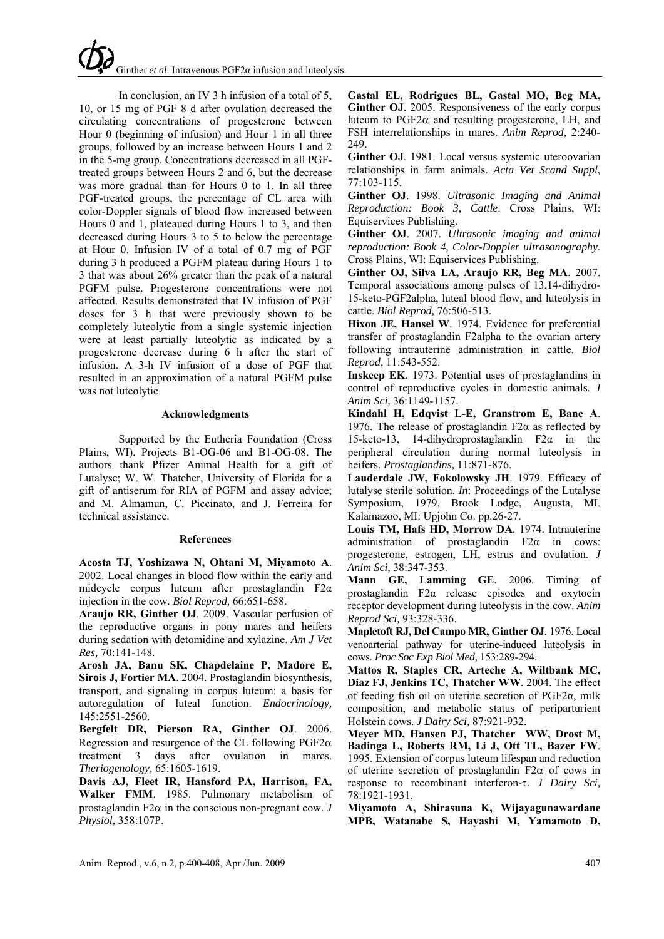# Ginther *et al*. Intravenous PGF2α infusion and luteolysis.

In conclusion, an IV 3 h infusion of a total of 5, 10, or 15 mg of PGF 8 d after ovulation decreased the circulating concentrations of progesterone between Hour 0 (beginning of infusion) and Hour 1 in all three groups, followed by an increase between Hours 1 and 2 in the 5-mg group. Concentrations decreased in all PGFtreated groups between Hours 2 and 6, but the decrease was more gradual than for Hours 0 to 1. In all three PGF-treated groups, the percentage of CL area with color-Doppler signals of blood flow increased between Hours 0 and 1, plateaued during Hours 1 to 3, and then decreased during Hours 3 to 5 to below the percentage at Hour 0. Infusion IV of a total of 0.7 mg of PGF during 3 h produced a PGFM plateau during Hours 1 to 3 that was about 26% greater than the peak of a natural PGFM pulse. Progesterone concentrations were not affected. Results demonstrated that IV infusion of PGF doses for 3 h that were previously shown to be completely luteolytic from a single systemic injection were at least partially luteolytic as indicated by a progesterone decrease during 6 h after the start of infusion. A 3-h IV infusion of a dose of PGF that resulted in an approximation of a natural PGFM pulse was not luteolytic.

## **Acknowledgments**

Supported by the Eutheria Foundation (Cross Plains, WI). Projects B1-OG-06 and B1-OG-08. The authors thank Pfizer Animal Health for a gift of Lutalyse; W. W. Thatcher, University of Florida for a gift of antiserum for RIA of PGFM and assay advice; and M. Almamun, C. Piccinato, and J. Ferreira for technical assistance.

## **References**

**Acosta TJ, Yoshizawa N, Ohtani M, Miyamoto A**. 2002. Local changes in blood flow within the early and midcycle corpus luteum after prostaglandin F2α injection in the cow. *Biol Reprod,* 66:651-658.

**Araujo RR, Ginther OJ**. 2009. Vascular perfusion of the reproductive organs in pony mares and heifers during sedation with detomidine and xylazine. *Am J Vet Res,* 70:141-148.

**Arosh JA, Banu SK, Chapdelaine P, Madore E, Sirois J, Fortier MA**. 2004. Prostaglandin biosynthesis, transport, and signaling in corpus luteum: a basis for autoregulation of luteal function. *Endocrinology,* 145:2551-2560.

**Bergfelt DR, Pierson RA, Ginther OJ**. 2006. Regression and resurgence of the CL following  $PGF2\alpha$ treatment 3 days after ovulation in mares. *Theriogenology,* 65:1605-1619.

**Davis AJ, Fleet IR, Hansford PA, Harrison, FA, Walker FMM**. 1985. Pulmonary metabolism of prostaglandin F2 $\alpha$  in the conscious non-pregnant cow.  $J$ *Physiol,* 358:107P.

**Gastal EL, Rodrigues BL, Gastal MO, Beg MA, Ginther OJ**. 2005. Responsiveness of the early corpus luteum to PGF2α and resulting progesterone, LH, and FSH interrelationships in mares. *Anim Reprod,* 2:240- 249.

Ginther OJ. 1981. Local versus systemic uteroovarian relationships in farm animals. *Acta Vet Scand Suppl*, 77:103-115.

**Ginther OJ**. 1998. *Ultrasonic Imaging and Animal Reproduction: Book 3, Cattle*. Cross Plains, WI: Equiservices Publishing.

**Ginther OJ**. 2007. *Ultrasonic imaging and animal reproduction: Book 4, Color-Doppler ultrasonography.* Cross Plains, WI: Equiservices Publishing.

**Ginther OJ, Silva LA, Araujo RR, Beg MA**. 2007. Temporal associations among pulses of 13,14-dihydro-15-keto-PGF2alpha, luteal blood flow, and luteolysis in cattle. *Biol Reprod,* 76:506-513.

**Hixon JE, Hansel W**. 1974. Evidence for preferential transfer of prostaglandin F2alpha to the ovarian artery following intrauterine administration in cattle. *Biol Reprod,* 11:543-552.

**Inskeep EK**. 1973. Potential uses of prostaglandins in control of reproductive cycles in domestic animals. *J Anim Sci,* 36:1149-1157.

**Kindahl H, Edqvist L-E, Granstrom E, Bane A**. 1976. The release of prostaglandin  $F2\alpha$  as reflected by 15-keto-13, 14-dihydroprostaglandin F2α in the peripheral circulation during normal luteolysis in heifers. *Prostaglandins,* 11:871-876.

**Lauderdale JW, Fokolowsky JH**. 1979. Efficacy of lutalyse sterile solution. *In*: Proceedings of the Lutalyse Symposium, 1979, Brook Lodge, Augusta, MI. Kalamazoo, MI: Upjohn Co. pp.26-27.

**Louis TM, Hafs HD, Morrow DA**. 1974. Intrauterine administration of prostaglandin  $F2\alpha$  in cows: progesterone, estrogen, LH, estrus and ovulation. *J Anim Sci,* 38:347-353.

**Mann GE, Lamming GE**. 2006. Timing of prostaglandin F2α release episodes and oxytocin receptor development during luteolysis in the cow. *Anim Reprod Sci,* 93:328-336.

**Mapletoft RJ, Del Campo MR, Ginther OJ**. 1976. Local venoarterial pathway for uterine-induced luteolysis in cows. *Proc Soc Exp Biol Med,* 153:289-294.

**Mattos R, Staples CR, Arteche A, Wiltbank MC, Diaz FJ, Jenkins TC, Thatcher WW**. 2004. The effect of feeding fish oil on uterine secretion of PGF2α, milk composition, and metabolic status of periparturient Holstein cows. *J Dairy Sci,* 87:921-932.

**Meyer MD, Hansen PJ, Thatcher WW, Drost M, Badinga L, Roberts RM, Li J, Ott TL, Bazer FW**. 1995. Extension of corpus luteum lifespan and reduction of uterine secretion of prostaglandin F2 $\alpha$  of cows in response to recombinant interferon-τ. *J Dairy Sci,* 78:1921-1931.

**Miyamoto A, Shirasuna K, Wijayagunawardane MPB, Watanabe S, Hayashi M, Yamamoto D,**